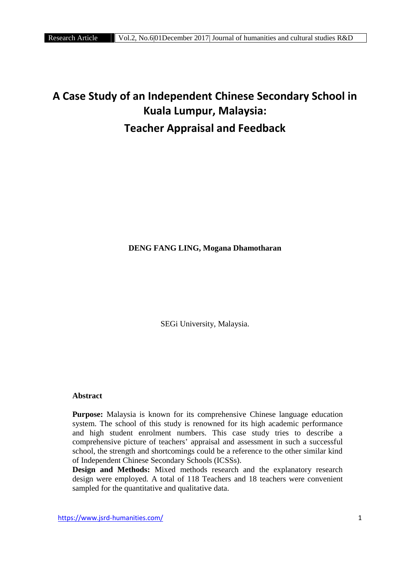# **A Case Study of an Independent Chinese Secondary School in Kuala Lumpur, Malaysia: Teacher Appraisal and Feedback**

# **DENG FANG LING, Mogana Dhamotharan**

SEGi University, Malaysia.

# **Abstract**

**Purpose:** Malaysia is known for its comprehensive Chinese language education system. The school of this study is renowned for its high academic performance and high student enrolment numbers. This case study tries to describe a comprehensive picture of teachers' appraisal and assessment in such a successful school, the strength and shortcomings could be a reference to the other similar kind of Independent Chinese Secondary Schools (ICSSs).

**Design and Methods:** Mixed methods research and the explanatory research design were employed. A total of 118 Teachers and 18 teachers were convenient sampled for the quantitative and qualitative data.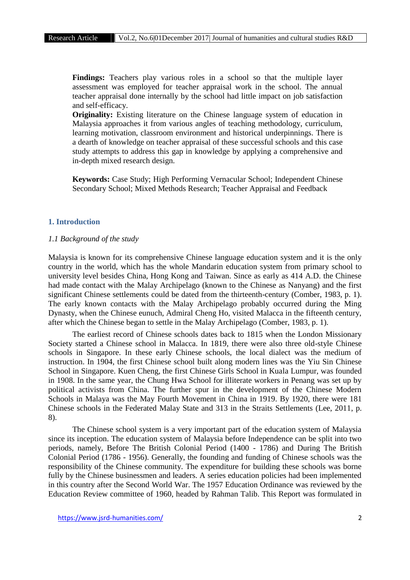**Findings:** Teachers play various roles in a school so that the multiple layer assessment was employed for teacher appraisal work in the school. The annual teacher appraisal done internally by the school had little impact on job satisfaction and self-efficacy.

**Originality:** Existing literature on the Chinese language system of education in Malaysia approaches it from various angles of teaching methodology, curriculum, learning motivation, classroom environment and historical underpinnings. There is a dearth of knowledge on teacher appraisal of these successful schools and this case study attempts to address this gap in knowledge by applying a comprehensive and in-depth mixed research design.

**Keywords:** Case Study; High Performing Vernacular School; Independent Chinese Secondary School; Mixed Methods Research; Teacher Appraisal and Feedback

# **1. Introduction**

#### *1.1 Background of the study*

Malaysia is known for its comprehensive Chinese language education system and it is the only country in the world, which has the whole Mandarin education system from primary school to university level besides China, Hong Kong and Taiwan. Since as early as 414 A.D. the Chinese had made contact with the Malay Archipelago (known to the Chinese as Nanyang) and the first significant Chinese settlements could be dated from the thirteenth-century (Comber, 1983, p. 1). The early known contacts with the Malay Archipelago probably occurred during the Ming Dynasty, when the Chinese eunuch, Admiral Cheng Ho, visited Malacca in the fifteenth century, after which the Chinese began to settle in the Malay Archipelago (Comber, 1983, p. 1).

The earliest record of Chinese schools dates back to 1815 when the London Missionary Society started a Chinese school in Malacca. In 1819, there were also three old-style Chinese schools in Singapore. In these early Chinese schools, the local dialect was the medium of instruction. In 1904, the first Chinese school built along modern lines was the Yiu Sin Chinese School in Singapore. Kuen Cheng, the first Chinese Girls School in Kuala Lumpur, was founded in 1908. In the same year, the Chung Hwa School for illiterate workers in Penang was set up by political activists from China. The further spur in the development of the Chinese Modern Schools in Malaya was the May Fourth Movement in China in 1919. By 1920, there were 181 Chinese schools in the Federated Malay State and 313 in the Straits Settlements (Lee, 2011, p. 8).

The Chinese school system is a very important part of the education system of Malaysia since its inception. The education system of Malaysia before Independence can be split into two periods, namely, Before The British Colonial Period (1400 - 1786) and During The British Colonial Period (1786 - 1956). Generally, the founding and funding of Chinese schools was the responsibility of the Chinese community. The expenditure for building these schools was borne fully by the Chinese businessmen and leaders. A series education policies had been implemented in this country after the Second World War. The 1957 Education Ordinance was reviewed by the Education Review committee of 1960, headed by Rahman Talib. This Report was formulated in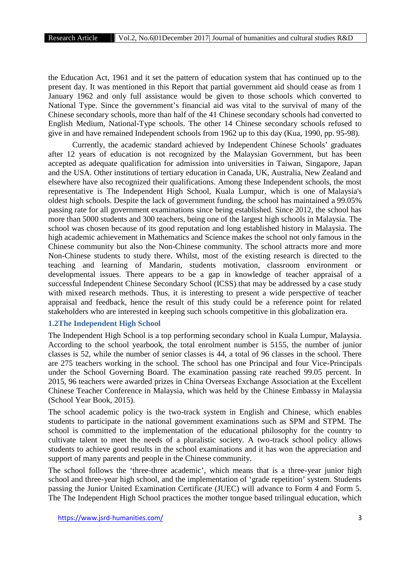the Education Act, 1961 and it set the pattern of education system that has continued up to the present day. It was mentioned in this Report that partial government aid should cease as from 1 January 1962 and only full assistance would be given to those schools which converted to National Type. Since the government's financial aid was vital to the survival of many of the Chinese secondary schools, more than half of the 41 Chinese secondary schools had converted to English Medium, National-Type schools. The other 14 Chinese secondary schools refused to give in and have remained Independent schools from 1962 up to this day (Kua, 1990, pp. 95-98).

Currently, the academic standard achieved by Independent Chinese Schools' graduates after 12 years of education is not recognized by the Malaysian Government, but has been accepted as adequate qualification for admission into universities in Taiwan, Singapore, Japan and the USA. Other institutions of tertiary education in Canada, UK, Australia, New Zealand and elsewhere have also recognized their qualifications. Among these Independent schools, the most representative is The Independent High School, Kuala Lumpur, which is one of Malaysia's oldest high schools. Despite the lack of government funding, the school has maintained a 99.05% passing rate for all government examinations since being established. Since 2012, the school has more than 5000 students and 300 teachers, being one of the largest high schools in Malaysia. The school was chosen because of its good reputation and long established history in Malaysia. The high academic achievement in Mathematics and Science makes the school not only famous in the Chinese community but also the Non-Chinese community. The school attracts more and more Non-Chinese students to study there. Whilst, most of the existing research is directed to the teaching and learning of Mandarin, students motivation, classroom environment or developmental issues. There appears to be a gap in knowledge of teacher appraisal of a successful Independent Chinese Secondary School (ICSS) that may be addressed by a case study with mixed research methods. Thus, it is interesting to present a wide perspective of teacher appraisal and feedback, hence the result of this study could be a reference point for related stakeholders who are interested in keeping such schools competitive in this globalization era.

# **1.2The Independent High School**

The Independent High School is a top performing secondary school in Kuala Lumpur, Malaysia. According to the school yearbook, the total enrolment number is 5155, the number of junior classes is 52, while the number of senior classes is 44, a total of 96 classes in the school. There are 275 teachers working in the school. The school has one Principal and four Vice-Principals under the School Governing Board. The examination passing rate reached 99.05 percent. In 2015, 96 teachers were awarded prizes in China Overseas Exchange Association at the Excellent Chinese Teacher Conference in Malaysia, which was held by the Chinese Embassy in Malaysia (School Year Book, 2015).

The school academic policy is the two-track system in English and Chinese, which enables students to participate in the national government examinations such as SPM and STPM. The school is committed to the implementation of the educational philosophy for the country to cultivate talent to meet the needs of a pluralistic society. A two-track school policy allows students to achieve good results in the school examinations and it has won the appreciation and support of many parents and people in the Chinese community.

The school follows the 'three-three academic', which means that is a three-year junior high school and three-year high school, and the implementation of 'grade repetition' system. Students passing the Junior United Examination Certificate (JUEC) will advance to Form 4 and Form 5. The The Independent High School practices the mother tongue based trilingual education, which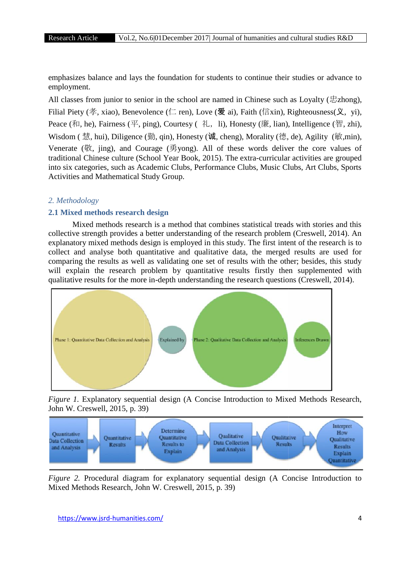emphasizes balance and lays the foundation for students to continue their studies or advance to employment. emphasizes balance and lays the foundation for students to continue their studies or advance to employment.<br>All classes from junior to senior in the school are named in Chinese such as Loyalty (忠zhong),

Filial Piety (孝, xiao), Benevolence (仁 ren), Love (爱 ai), Faith (信xin), Righteousness(义, vi), Peace (和, he), Fairness (平, ping), Courtesy (礼, li), Honesty (廉, lian), Intelligence (智, zhi), Wisdom (慧, hui), Diligence (勤, qin), Honesty (诚, cheng), Morality (德, de), Agility (敏,min), Venerate (敬, jing), and Courage (勇yong). All of these words deliver the core values of traditional Chinese culture (School Year Book, 2015). The extra-curricular activities are grouped into six categories, such as Academic Clubs, Performance Clubs, Music Clubs, Art Clubs, Sports Activities and Mathematical Study Group. ior in the school are named in Chinese such as Loyalty ( $\exists$ zhong),<br>olence ( $\Box$  ren), Love ( $\bigotimes$  ai), Faith ( $\leftarrow$  is in), Righteousness( $\Diamond$ , yi),<br>ping), Courtesy ( $\dag$ ,  $\Diamond$ , li), Honesty ( $\circ$ ,  $\Diamond$ , an), Intelligen

#### *2. Methodology*

#### **2.1 Mixed methods research design**

Mixed methods research is a method that combines statistical treads with stories and this collective strength provides a better understanding of the research problem (Creswell, 2014). An explanatory mixed methods design is employed in this study. The first intent of the research is to collect and analyse both quantitative and qualitative data, the merged results are used for comparing the results as well as validating one set of results with the other; besides, this study will explain the research problem by quantitative results firstly then supplemented with qualitative results for the more in-depth understanding the research questions (Creswell, 2014).



*Figure 1.* Explanatory sequential design (A Concise Introduction to Mixed Methods Research, John W. Creswell, 2015, p. 39)



*Figure 2.* Procedural diagram for explanatory sequential design (A Concise Introduction to Mixed Methods Research, John W. Creswell, 2015, p. 39)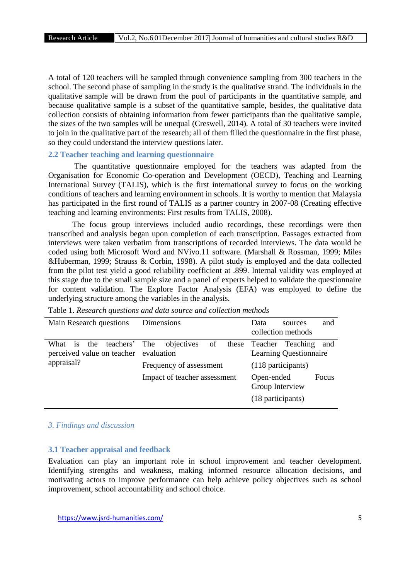A total of 120 teachers will be sampled through convenience sampling from 300 teachers in the school. The second phase of sampling in the study is the qualitative strand. The individuals in the qualitative sample will be drawn from the pool of participants in the quantitative sample, and because qualitative sample is a subset of the quantitative sample, besides, the qualitative data collection consists of obtaining information from fewer participants than the qualitative sample, the sizes of the two samples will be unequal (Creswell, 2014). A total of 30 teachers were invited to join in the qualitative part of the research; all of them filled the questionnaire in the first phase, so they could understand the interview questions later.

# **2.2 Teacher teaching and learning questionnaire**

The quantitative questionnaire employed for the teachers was adapted from the Organisation for Economic Co-operation and Development (OECD), Teaching and Learning International Survey (TALIS), which is the first international survey to focus on the working conditions of teachers and learning environment in schools. It is worthy to mention that Malaysia has participated in the first round of TALIS as a partner country in 2007-08 (Creating effective teaching and learning environments: First results from TALIS, 2008).

The focus group interviews included audio recordings, these recordings were then transcribed and analysis began upon completion of each transcription. Passages extracted from interviews were taken verbatim from transcriptions of recorded interviews. The data would be coded using both Microsoft Word and NVivo.11 software. (Marshall & Rossman, 1999; Miles &Huberman, 1999; Strauss & Corbin, 1998). A pilot study is employed and the data collected from the pilot test yield a good reliability coefficient at .899. Internal validity was employed at this stage due to the small sample size and a panel of experts helped to validate the questionnaire for content validation. The Explore Factor Analysis (EFA) was employed to define the underlying structure among the variables in the analysis.

| Main Research questions                                            | Dimensions                   | Data<br>and<br>sources<br>collection methods                   |  |  |
|--------------------------------------------------------------------|------------------------------|----------------------------------------------------------------|--|--|
| What is the teachers' The<br>perceived value on teacher evaluation | objectives of                | these Teacher Teaching<br>and<br><b>Learning Questionnaire</b> |  |  |
| appraisal?                                                         | Frequency of assessment      | (118 participants)                                             |  |  |
|                                                                    | Impact of teacher assessment | Open-ended<br>Focus<br>Group Interview<br>(18 participants)    |  |  |

Table 1. *Research questions and data source and collection methods*

# *3. Findings and discussion*

## **3.1 Teacher appraisal and feedback**

Evaluation can play an important role in school improvement and teacher development. Identifying strengths and weakness, making informed resource allocation decisions, and motivating actors to improve performance can help achieve policy objectives such as school improvement, school accountability and school choice.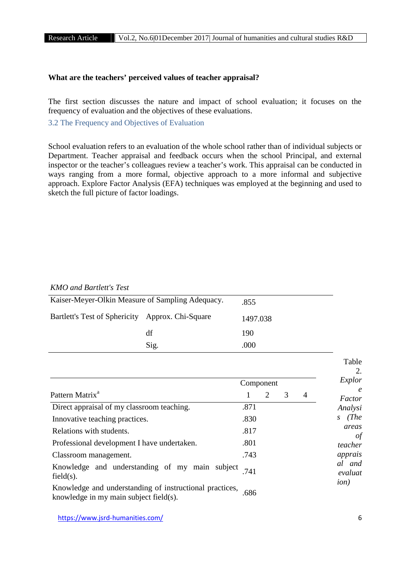## **What are the teachers' perceived values of teacher appraisal?**

The first section discusses the nature and impact of school evaluation; it focuses on the frequency of evaluation and the objectives of these evaluations.

3.2 The Frequency and Objectives of Evaluation

School evaluation refers to an evaluation of the whole school rather than of individual subjects or Department. Teacher appraisal and feedback occurs when the school Principal, and external inspector or the teacher's colleagues review a teacher's work. This appraisal can be conducted in ways ranging from a more formal, objective approach to a more informal and subjective approach. Explore Factor Analysis (EFA) techniques was employed at the beginning and used to sketch the full picture of factor loadings.

#### *KMO and Bartlett's Test*

| Kaiser-Meyer-Olkin Measure of Sampling Adequacy. |      | .855     |  |
|--------------------------------------------------|------|----------|--|
| Bartlett's Test of Sphericity Approx. Chi-Square |      | 1497.038 |  |
|                                                  | df   | 190      |  |
|                                                  | Sig. | .000     |  |
|                                                  |      |          |  |

|                                                                                                       |           |   |   |                | I able<br>2.<br>Explor |
|-------------------------------------------------------------------------------------------------------|-----------|---|---|----------------|------------------------|
|                                                                                                       | Component |   |   |                | $\epsilon$             |
| Pattern Matrix <sup>a</sup>                                                                           |           | 2 | 3 | $\overline{4}$ | Factor                 |
| Direct appraisal of my classroom teaching.                                                            | .871      |   |   |                | Analysi                |
| Innovative teaching practices.                                                                        | .830      |   |   |                | (The<br>S              |
| Relations with students.                                                                              | .817      |   |   |                | areas<br>οt            |
| Professional development I have undertaken.                                                           | .801      |   |   |                | teacher                |
| Classroom management.                                                                                 | .743      |   |   |                | apprais                |
| Knowledge and understanding of my main subject<br>$field(s)$ .                                        | 741       |   |   |                | al and<br>evaluat      |
| Knowledge and understanding of instructional practices,<br>knowledge in my main subject field $(s)$ . | .686      |   |   |                | ion)                   |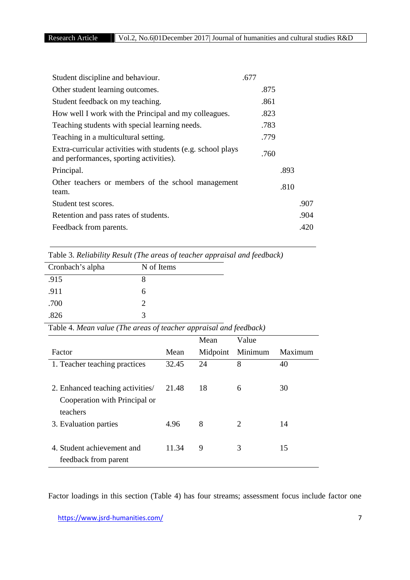| .677 |      |
|------|------|
| .875 |      |
| .861 |      |
| .823 |      |
| .783 |      |
| .779 |      |
| .760 |      |
| .893 |      |
| .810 |      |
|      | .907 |
|      | .904 |
|      | .420 |
|      |      |

| Cronbach's alpha | N of Items            |
|------------------|-----------------------|
| .915             | x                     |
| .911             | რ                     |
| .700             | $\mathcal{D}_{\cdot}$ |
| .826             | 3                     |

Table 4. *Mean value (The areas of teacher appraisal and feedback)*

|                                  |       | Mean     | Value   |         |
|----------------------------------|-------|----------|---------|---------|
| Factor                           | Mean  | Midpoint | Minimum | Maximum |
| 1. Teacher teaching practices    | 32.45 | 24       | 8       | 40      |
|                                  |       |          |         |         |
| 2. Enhanced teaching activities/ | 21.48 | 18       | 6       | 30      |
| Cooperation with Principal or    |       |          |         |         |
| teachers                         |       |          |         |         |
| 3. Evaluation parties            | 4.96  | 8        | 2       | 14      |
|                                  |       |          |         |         |
| 4. Student achievement and       | 11.34 | 9        | 3       | 15      |
| feedback from parent             |       |          |         |         |

Factor loadings in this section (Table 4) has four streams; assessment focus include factor one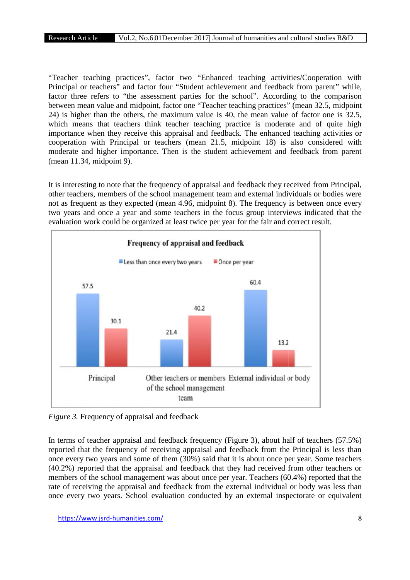"Teacher teaching practices", factor two "Enhanced teaching activities/Cooperation with Principal or teachers" and factor four "Student achievement and feedback from parent" while, factor three refers to "the assessment parties for the school". According to the comparison between mean value and midpoint, factor one "Teacher teaching practices" (mean 32.5, midpoint 24) is higher than the others, the maximum value is 40, the mean value of factor one is 32.5, which means that teachers think teacher teaching practice is moderate and of quite high importance when they receive this appraisal and feedback. The enhanced teaching activities or cooperation with Principal or teachers (mean 21.5, midpoint 18) is also considered with moderate and higher importance. Then is the student achievement and feedback from parent (mean 11.34, midpoint 9).

It is interesting to note that the frequency of appraisal and feedback they received from Principal, other teachers, members of the school management team and external individuals or bodies were not as frequent as they expected (mean 4.96, midpoint 8). The frequency is between once every two years and once a year and some teachers in the focus group interviews indicated that the evaluation work could be organized at least twice per year for the fair and correct result.



*Figure 3.* Frequency of appraisal and feedback

In terms of teacher appraisal and feedback frequency (Figure 3), about half of teachers (57.5%) reported that the frequency of receiving appraisal and feedback from the Principal is less than once every two years and some of them (30%) said that it is about once per year. Some teachers (40.2%) reported that the appraisal and feedback that they had received from other teachers or once every two years and some of them (30%) said that it is about once per year. Some teachers (40.2%) reported that the appraisal and feedback that they had received from other teachers or members of the school management rate of receiving the appraisal and feedback from the external individual or body was less than once every two years. School evaluation conducted by an external inspectorate or equivalent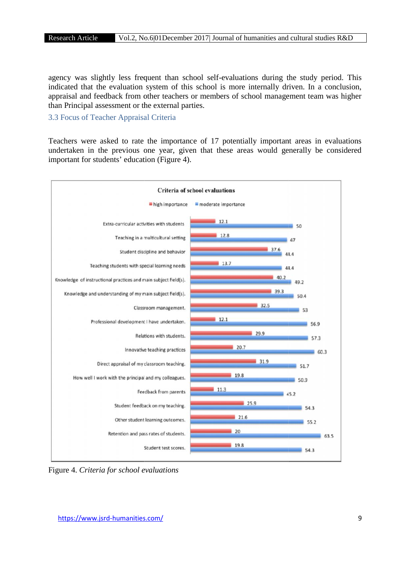agency was slightly less frequent than school self-evaluations during the study period. This indicated that the evaluation system of this school is more internally driven. In a conclusion, appraisal and feedback from other teachers or members of school management team was higher than Principal assessment or the external parties. It the evaluation system of this school is more internally driven. In<br>I feedback from other teachers or members of school management tea<br>I assessment or the external parties.<br>Teacher Appraisal Criteria

# 3.3 Focus of Teacher Appraisal Criteria

Teachers were asked to rate the importance of 17 potentially important areas in evaluations undertaken in the previous one year, given that these areas would generally be considered important for students' education (Figure 4).



Figure 4. *Criteria for school evaluations*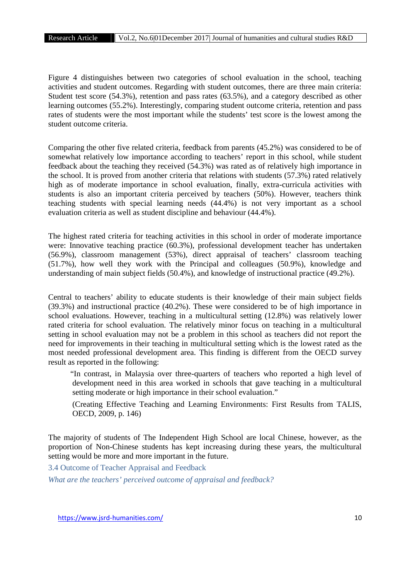Figure 4 distinguishes between two categories of school evaluation in the school, teaching activities and student outcomes. Regarding with student outcomes, there are three main criteria: Student test score (54.3%), retention and pass rates (63.5%), and a category described as other learning outcomes (55.2%). Interestingly, comparing student outcome criteria, retention and pass rates of students were the most important while the students' test score is the lowest among the student outcome criteria.

Comparing the other five related criteria, feedback from parents (45.2%) was considered to be of somewhat relatively low importance according to teachers' report in this school, while student feedback about the teaching they received (54.3%) was rated as of relatively high importance in the school. It is proved from another criteria that relations with students (57.3%) rated relatively high as of moderate importance in school evaluation, finally, extra-curricula activities with students is also an important criteria perceived by teachers (50%). However, teachers think teaching students with special learning needs (44.4%) is not very important as a school evaluation criteria as well as student discipline and behaviour (44.4%).

The highest rated criteria for teaching activities in this school in order of moderate importance were: Innovative teaching practice (60.3%), professional development teacher has undertaken (56.9%), classroom management (53%), direct appraisal of teachers' classroom teaching (51.7%), how well they work with the Principal and colleagues (50.9%), knowledge and understanding of main subject fields (50.4%), and knowledge of instructional practice (49.2%).

Central to teachers' ability to educate students is their knowledge of their main subject fields (39.3%) and instructional practice (40.2%). These were considered to be of high importance in school evaluations. However, teaching in a multicultural setting (12.8%) was relatively lower rated criteria for school evaluation. The relatively minor focus on teaching in a multicultural setting in school evaluation may not be a problem in this school as teachers did not report the need for improvements in their teaching in multicultural setting which is the lowest rated as the most needed professional development area. This finding is different from the OECD survey result as reported in the following:

"In contrast, in Malaysia over three-quarters of teachers who reported a high level of development need in this area worked in schools that gave teaching in a multicultural setting moderate or high importance in their school evaluation."

(Creating Effective Teaching and Learning Environments: First Results from TALIS, OECD, 2009, p. 146)

The majority of students of The Independent High School are local Chinese, however, as the proportion of Non-Chinese students has kept increasing during these years, the multicultural setting would be more and more important in the future.

3.4 Outcome of Teacher Appraisal and Feedback

*What are the teachers' perceived outcome of appraisal and feedback?*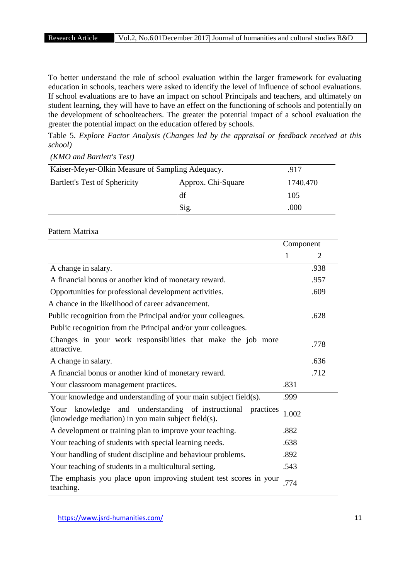To better understand the role of school evaluation within the larger framework for evaluating education in schools, teachers were asked to identify the level of influence of school evaluations. If school evaluations are to have an impact on school Principals and teachers, and ultimately on student learning, they will have to have an effect on the functioning of schools and potentially on the development of schoolteachers. The greater the potential impact of a school evaluation the greater the potential impact on the education offered by schools.

Table 5. *Explore Factor Analysis (Changes led by the appraisal or feedback received at this school)*

*(KMO and Bartlett's Test)*

| Kaiser-Meyer-Olkin Measure of Sampling Adequacy. | .917               |          |  |
|--------------------------------------------------|--------------------|----------|--|
| <b>Bartlett's Test of Sphericity</b>             | Approx. Chi-Square | 1740.470 |  |
|                                                  | df                 | 105      |  |
|                                                  | Sig.               | .000     |  |

# Pattern Matrixa

|                                                                                                                       | Component |      |
|-----------------------------------------------------------------------------------------------------------------------|-----------|------|
|                                                                                                                       | 1         | 2    |
| A change in salary.                                                                                                   |           | .938 |
| A financial bonus or another kind of monetary reward.                                                                 |           | .957 |
| Opportunities for professional development activities.                                                                |           | .609 |
| A chance in the likelihood of career advancement.                                                                     |           |      |
| Public recognition from the Principal and/or your colleagues.                                                         |           | .628 |
| Public recognition from the Principal and/or your colleagues.                                                         |           |      |
| Changes in your work responsibilities that make the job more<br>attractive.                                           |           | .778 |
| A change in salary.                                                                                                   |           | .636 |
| A financial bonus or another kind of monetary reward.                                                                 |           | .712 |
| Your classroom management practices.                                                                                  | .831      |      |
| Your knowledge and understanding of your main subject field(s).                                                       | .999      |      |
| knowledge and understanding of instructional practices<br>Your<br>(knowledge mediation) in you main subject field(s). | 1.002     |      |
| A development or training plan to improve your teaching.                                                              | .882      |      |
| Your teaching of students with special learning needs.                                                                | .638      |      |
| Your handling of student discipline and behaviour problems.                                                           | .892      |      |
| Your teaching of students in a multicultural setting.                                                                 | .543      |      |
| The emphasis you place upon improving student test scores in your<br>teaching.                                        | .774      |      |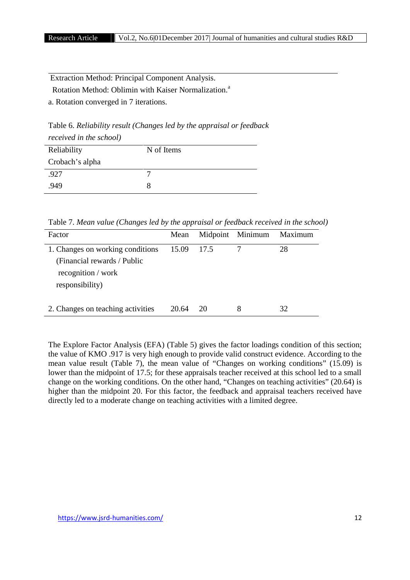Extraction Method: Principal Component Analysis.

Rotation Method: Oblimin with Kaiser Normalization.<sup>a</sup>

a. Rotation converged in 7 iterations.

Table 6. *Reliability result (Changes led by the appraisal or feedback received in the school)*

| Reliability     | N of Items |
|-----------------|------------|
| Crobach's alpha |            |
| .927            |            |
| .949            |            |

Table 7. *Mean value (Changes led by the appraisal or feedback received in the school)*

| Factor                            | Mean       |    | Midpoint Minimum | Maximum |
|-----------------------------------|------------|----|------------------|---------|
| 1. Changes on working conditions  | 15.09 17.5 |    |                  | 28      |
| (Financial rewards / Public       |            |    |                  |         |
| recognition / work                |            |    |                  |         |
| responsibility)                   |            |    |                  |         |
|                                   |            |    |                  |         |
| 2. Changes on teaching activities | 20.64      | 20 | 8                | 32      |

The Explore Factor Analysis (EFA) (Table 5) gives the factor loadings condition of this section; the value of KMO .917 is very high enough to provide valid construct evidence. According to the mean value result (Table 7), the mean value of "Changes on working conditions" (15.09) is lower than the midpoint of 17.5; for these appraisals teacher received at this school led to a small change on the working conditions. On the other hand, "Changes on teaching activities" (20.64) is higher than the midpoint 20. For this factor, the feedback and appraisal teachers received have directly led to a moderate change on teaching activities with a limited degree.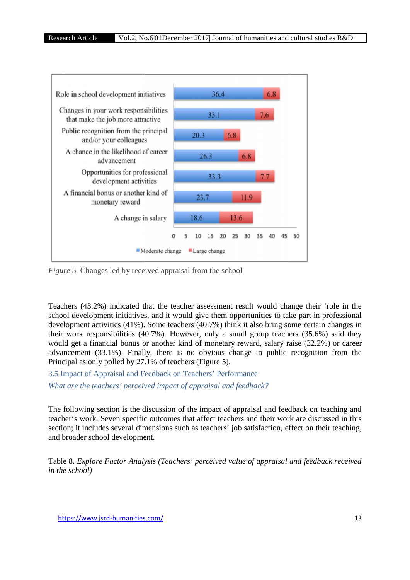

*Figure 5.* Changes led by received appraisal from the school

Teachers (43.2%) indicated that the teacher assessment result would change their 'role in the school development initiatives, and it would give them opportunities to take part in professional development activities (41%). Some teachers (40.7%) think it also bring some certain changes in their work responsibilities (40.7%). However, only a small group teachers (35.6%) said they would get a financial bonus or another kind of monetary reward, salary raise (32.2%) or career (32.2%) advancement (33.1%). Finally, there is no obvious change in public recognition from the Principal as only polled by 27.1% of teachers (Figure 5). ent initiatives, and it would give them opportunities to take p<br>vities (41%). Some teachers (40.7%) think it also bring some<br>nsibilities (40.7%). However, only a small group teachers (<br>ncial bonus or another kind of moneta result would change their 'role in the<br>pportunities to take part in professional<br>ak it also bring some certain changes in<br>nall group teachers (35.6%) said they<br>reward, salary raise (32.2%) or career<br>ange in public recognit

3.5 Impact of Appraisal and Feedback on Teachers' Performance *What are the teachers' perceived impact of appraisal and feedback?* 

The following section is the discussion of the impact of appraisal and feedback on teaching and teacher's work. Seven specific outcomes that affect teachers and their work are discussed in this The following section is the discussion of the impact of appraisal and feedback on teaching and teacher's work. Seven specific outcomes that affect teachers and their work are discussed in this section; it includes several and broader school development.

Table 8. *Explore Factor Analysis (Teachers' perceived value of appraisal and feedback received in the school)*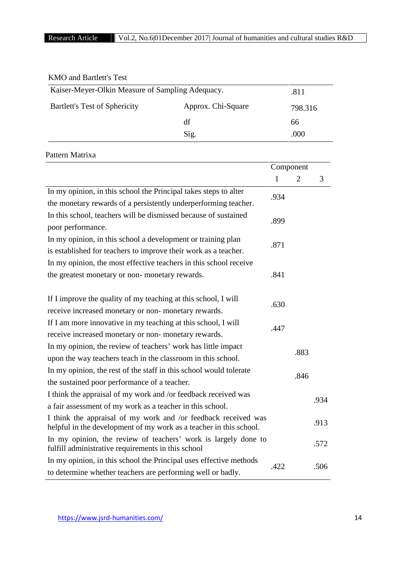| <b>KMO</b> and Bartlett's Test                             |      |         |
|------------------------------------------------------------|------|---------|
| Kaiser-Meyer-Olkin Measure of Sampling Adequacy.           |      | .811    |
| <b>Bartlett's Test of Sphericity</b><br>Approx. Chi-Square |      | 798.316 |
|                                                            | df   | 66      |
|                                                            | Sig. | .000    |

# Pattern Matrixa

|                                                                                                                      | Component    |      |      |  |
|----------------------------------------------------------------------------------------------------------------------|--------------|------|------|--|
|                                                                                                                      | $\mathbf{1}$ | 2    | 3    |  |
| In my opinion, in this school the Principal takes steps to alter                                                     | .934         |      |      |  |
| the monetary rewards of a persistently underperforming teacher.                                                      |              |      |      |  |
| In this school, teachers will be dismissed because of sustained                                                      | .899         |      |      |  |
| poor performance.                                                                                                    |              |      |      |  |
| In my opinion, in this school a development or training plan                                                         | .871         |      |      |  |
| is established for teachers to improve their work as a teacher.                                                      |              |      |      |  |
| In my opinion, the most effective teachers in this school receive                                                    |              |      |      |  |
| the greatest monetary or non-monetary rewards.                                                                       | .841         |      |      |  |
|                                                                                                                      |              |      |      |  |
| If I improve the quality of my teaching at this school, I will                                                       | .630         |      |      |  |
| receive increased monetary or non-monetary rewards.                                                                  |              |      |      |  |
| If I am more innovative in my teaching at this school, I will                                                        | .447         |      |      |  |
| receive increased monetary or non-monetary rewards.                                                                  |              |      |      |  |
| In my opinion, the review of teachers' work has little impact                                                        |              |      |      |  |
| upon the way teachers teach in the classroom in this school.                                                         |              |      | .883 |  |
| In my opinion, the rest of the staff in this school would tolerate                                                   | .846         |      |      |  |
| the sustained poor performance of a teacher.                                                                         |              |      |      |  |
| I think the appraisal of my work and /or feedback received was                                                       |              | .934 |      |  |
| a fair assessment of my work as a teacher in this school.                                                            |              |      |      |  |
| I think the appraisal of my work and /or feedback received was                                                       |              |      | .913 |  |
| helpful in the development of my work as a teacher in this school.                                                   |              |      |      |  |
| In my opinion, the review of teachers' work is largely done to<br>fulfill administrative requirements in this school |              |      | .572 |  |
| In my opinion, in this school the Principal uses effective methods                                                   | .422         |      | .506 |  |
| to determine whether teachers are performing well or badly.                                                          |              |      |      |  |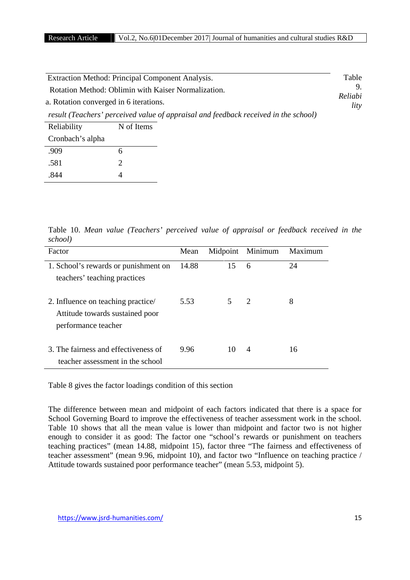| Extraction Method: Principal Component Analysis.                                              |                       |                                                                                     | Table |
|-----------------------------------------------------------------------------------------------|-----------------------|-------------------------------------------------------------------------------------|-------|
| Rotation Method: Oblimin with Kaiser Normalization.<br>a. Rotation converged in 6 iterations. | 9.<br>Reliabi<br>lity |                                                                                     |       |
|                                                                                               |                       | result (Teachers' perceived value of appraisal and feedback received in the school) |       |
| Reliability                                                                                   | N of Items            |                                                                                     |       |
| Cronbach's alpha                                                                              |                       |                                                                                     |       |
| .909                                                                                          | 6                     |                                                                                     |       |
| .581                                                                                          |                       |                                                                                     |       |

Table 10. *Mean value (Teachers' perceived value of appraisal or feedback received in the school)*

| Factor                                                                                       | Mean  |    | Midpoint Minimum | Maximum |
|----------------------------------------------------------------------------------------------|-------|----|------------------|---------|
| 1. School's rewards or punishment on<br>teachers' teaching practices                         | 14.88 | 15 | 6                | 24      |
| 2. Influence on teaching practice/<br>Attitude towards sustained poor<br>performance teacher | 5.53  | 5  | -2               | 8       |
| 3. The fairness and effectiveness of<br>teacher assessment in the school                     | 9.96  | 10 | $\overline{4}$   | 16      |

Table 8 gives the factor loadings condition of this section

The difference between mean and midpoint of each factors indicated that there is a space for School Governing Board to improve the effectiveness of teacher assessment work in the school. Table 10 shows that all the mean value is lower than midpoint and factor two is not higher enough to consider it as good: The factor one "school's rewards or punishment on teachers teaching practices" (mean 14.88, midpoint 15), factor three "The fairness and effectiveness of teacher assessment" (mean 9.96, midpoint 10), and factor two "Influence on teaching practice / Attitude towards sustained poor performance teacher" (mean 5.53, midpoint 5).

.844 4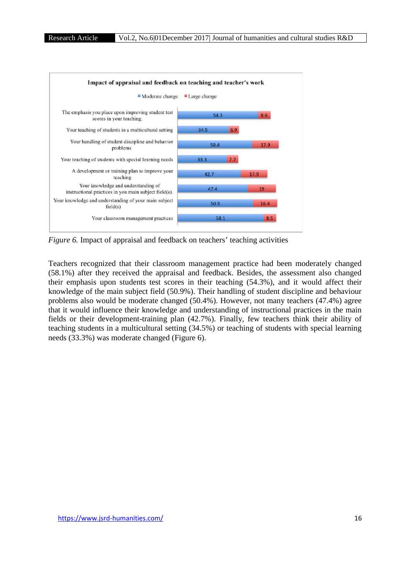

*Figure 6.* Impact of appraisal and feedback on teachers' teaching activities

Teachers recognized that their classroom management practice had been moderately changed (58.1%) after they received the appraisal and feedback. Besides, the assessment also changed their emphasis upon students test scores in their teaching (54.3%), and it would affect their knowledge of the main subject field (50.9%). Their handling of student discipline and behaviour problems also would be moderate changed (50.4%). However, not many teachers (47.4%) agree that it would influence their knowledge and understanding of instructional practices in the main fields or their development-training plan (42.7%). Finally, few teachers think their ability of teaching students in a multicultural setting (34.5%) or teaching of students with special learning needs (33.3%) was moderate changed (Figure 6). scores in their teaching (54.3%), and it would affect their<br>  $(50.9\%)$ . Their handling of student discipline and behaviour<br>
hanged (50.4%). However, not many teachers (47.4%) agree<br>
edge and understanding of instructional upon students test scores in their teaching (54.3%), and it would affect their<br>he main subject field (50.9%). Their handling of student discipline and behaviour<br>would be moderate changed (50.4%). However, not many teachers think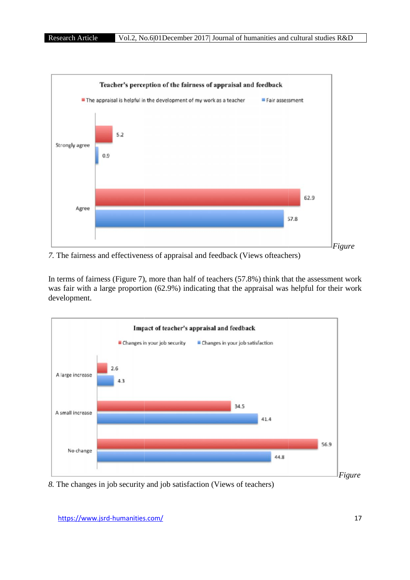

*7.* The fairness and effectiveness of appraisal and feedback (Views ofteachers)

In terms of fairness (Figure 7), more than half of teachers (57.8%) think that the assessment work In terms of fairness (Figure 7), more than half of teachers (57.8%) think that the assessment work was fair with a large proportion (62.9%) indicating that the appraisal was helpful for their work development.



*8.* The changes in job security and job satisfaction (Views of teachers)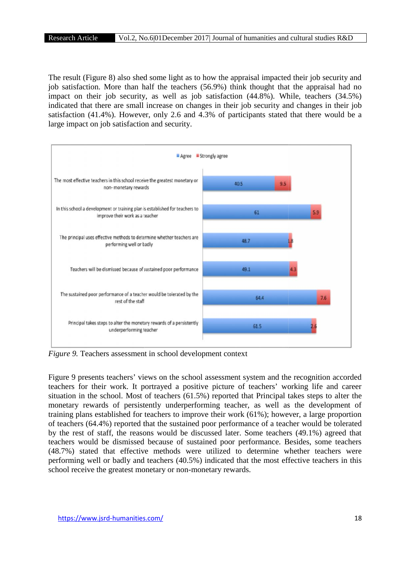The result (Figure 8) also shed some light as to how the appraisal impacted their job security and job satisfaction. More than half the teachers (56.9%) think thought that the appraisal had no impact on their job security, as well as job satisfaction (44.8%). While, teachers (34.5%) indicated that there are small increase on changes in their job security and changes in their job satisfaction (41.4%). However, only 2.6 and 4.3% of participants stated that there would be a large impact on job satisfaction and security.



*Figure 9.* Teachers assessment in school development context

Figure 9 presents teachers' views on the school assessment system and the recognition accorded teachers for their work. It portrayed a positive picture of teachers' working life and career situation in the school. Most of teachers (61.5%) reported that Principal takes steps to alter the monetary rewards of persistently underperforming teacher, as well as the development of training plans established for teachers to improve their work (61%); however, a large proportion of teachers (64.4%) reported that the sustained poor performance of a teacher would be tolerated by the rest of staff, the reasons would be discussed later. Some teachers (49.1%) agreed that teachers would be dismissed because of sustained poor performance. Besides, some teachers (48.7%) stated that effective methods were utilized to determine whether teachers were performing well or badly and teachers (40.5%) indicated that the most effective teachers in this school receive the greatest monetary or non-monetary rewards.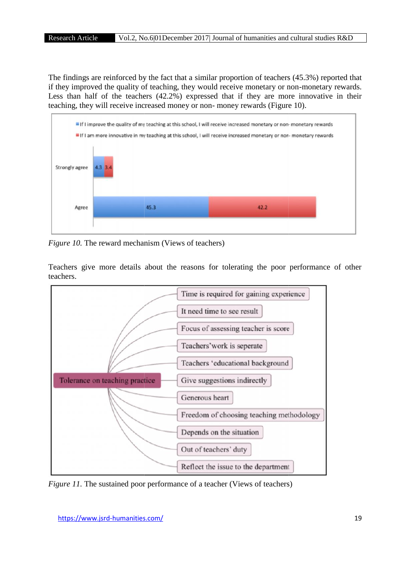The findings are reinforced by the fact that a similar proportion of teachers (45.3%) reported that if they improved the quality of teaching, they would receive monetary or non-monetary rewards. Less than half of the teachers (42.2%) expressed that if they are more innovative in their teaching, they will receive increased money or non- money rewards (Figure 10).



*Figure 10.* The reward mechanism (Views of teachers)

Teachers give more details about the reasons for tolerating the poor performance of other teachers.



*Figure 11.* The sustained poor performance of a teacher (Views of teachers)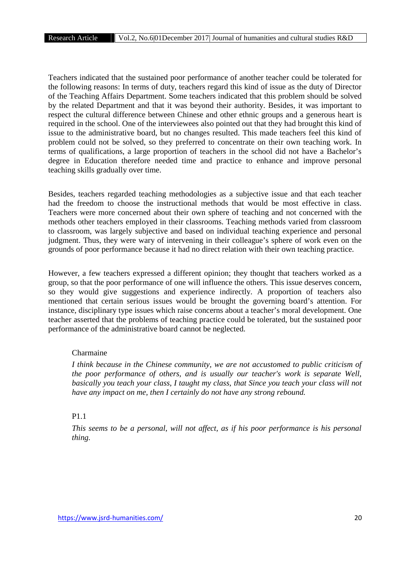Teachers indicated that the sustained poor performance of another teacher could be tolerated for the following reasons: In terms of duty, teachers regard this kind of issue as the duty of Director of the Teaching Affairs Department. Some teachers indicated that this problem should be solved by the related Department and that it was beyond their authority. Besides, it was important to respect the cultural difference between Chinese and other ethnic groups and a generous heart is required in the school. One of the interviewees also pointed out that they had brought this kind of issue to the administrative board, but no changes resulted. This made teachers feel this kind of problem could not be solved, so they preferred to concentrate on their own teaching work. In terms of qualifications, a large proportion of teachers in the school did not have a Bachelor's degree in Education therefore needed time and practice to enhance and improve personal teaching skills gradually over time.

Besides, teachers regarded teaching methodologies as a subjective issue and that each teacher had the freedom to choose the instructional methods that would be most effective in class. Teachers were more concerned about their own sphere of teaching and not concerned with the methods other teachers employed in their classrooms. Teaching methods varied from classroom to classroom, was largely subjective and based on individual teaching experience and personal judgment. Thus, they were wary of intervening in their colleague's sphere of work even on the grounds of poor performance because it had no direct relation with their own teaching practice.

However, a few teachers expressed a different opinion; they thought that teachers worked as a group, so that the poor performance of one will influence the others. This issue deserves concern, so they would give suggestions and experience indirectly. A proportion of teachers also mentioned that certain serious issues would be brought the governing board's attention. For instance, disciplinary type issues which raise concerns about a teacher's moral development. One teacher asserted that the problems of teaching practice could be tolerated, but the sustained poor performance of the administrative board cannot be neglected.

## Charmaine

*I think because in the Chinese community, we are not accustomed to public criticism of the poor performance of others, and is usually our teacher's work is separate Well, basically you teach your class, I taught my class, that Since you teach your class will not have any impact on me, then I certainly do not have any strong rebound.*

### P1.1

*This seems to be a personal, will not affect, as if his poor performance is his personal thing.*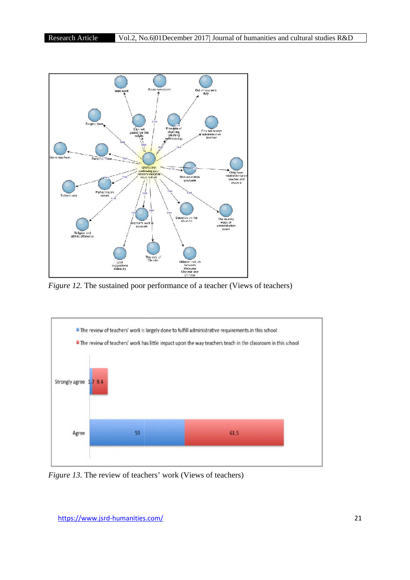

*Figure 12.* The sustained poor performance of a teacher (Views of teachers)



*Figure 13.* The review of teachers' work (Views of teachers)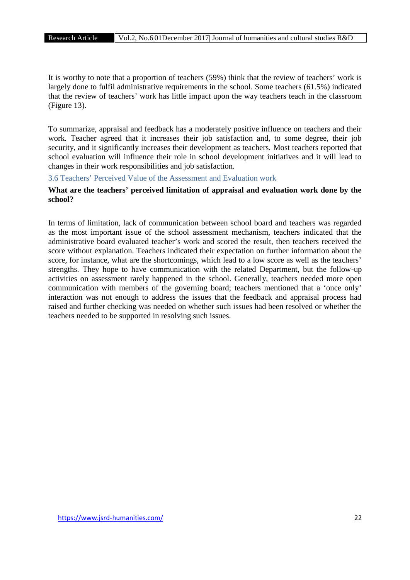It is worthy to note that a proportion of teachers (59%) think that the review of teachers' work is largely done to fulfil administrative requirements in the school. Some teachers (61.5%) indicated that the review of teachers' work has little impact upon the way teachers teach in the classroom (Figure 13).

To summarize, appraisal and feedback has a moderately positive influence on teachers and their work. Teacher agreed that it increases their job satisfaction and, to some degree, their job security, and it significantly increases their development as teachers. Most teachers reported that school evaluation will influence their role in school development initiatives and it will lead to changes in their work responsibilities and job satisfaction.

3.6 Teachers' Perceived Value of the Assessment and Evaluation work

# **What are the teachers' perceived limitation of appraisal and evaluation work done by the school?**

In terms of limitation, lack of communication between school board and teachers was regarded as the most important issue of the school assessment mechanism, teachers indicated that the administrative board evaluated teacher's work and scored the result, then teachers received the score without explanation. Teachers indicated their expectation on further information about the score, for instance, what are the shortcomings, which lead to a low score as well as the teachers' strengths. They hope to have communication with the related Department, but the follow-up activities on assessment rarely happened in the school. Generally, teachers needed more open communication with members of the governing board; teachers mentioned that a 'once only' interaction was not enough to address the issues that the feedback and appraisal process had raised and further checking was needed on whether such issues had been resolved or whether the teachers needed to be supported in resolving such issues.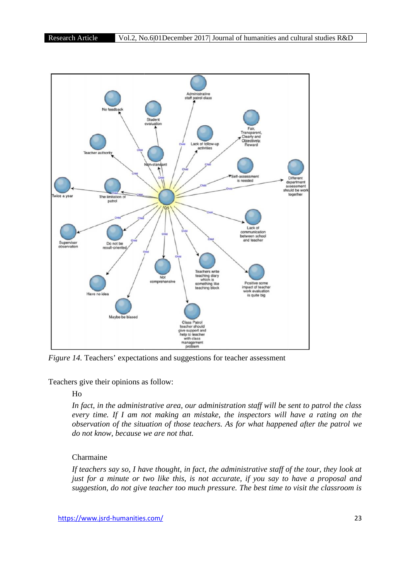

*Figure 14.* Teachers' expectations and suggestions for teacher assessment

Teachers give their opinions as follow:

# Ho

*In fact, in the administrative area, our administration staff will be sent to patrol the class every time. If I am not making an mistake, the inspectors will have a rating on the observation of the situation of those teachers. As for what happened after the patrol we do not know, because we are not that. dministrative area, our administration staff will be sent to patrol the class*<br>*I am not making an mistake, the inspectors will have a rating on the*<br>*the situation of those teachers. As for what happened after the patrol* 

# Charmaine

*If teachers say so, I have thought, in fact, the administrative staff of the tour, they look at just for a minute or two like this, is not accurate, if you say to have a proposal and suggestion, do not give teacher too much pressure. The best time to visit the classroom is time is*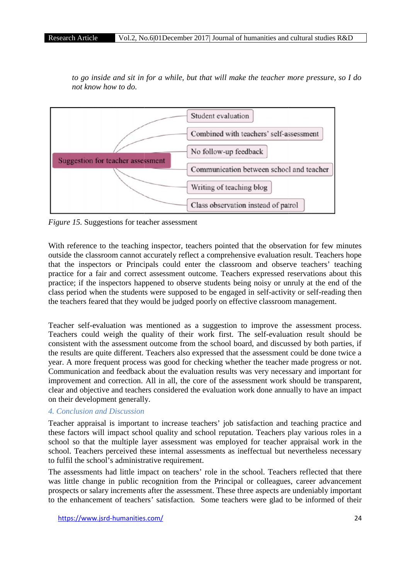*to go inside and sit in for a while, but that will make the teacher more pressure, so I do*<br>not know how to do. *not know how to do.*



*Figure 15.* Suggestions for teacher assessment

With reference to the teaching inspector, teachers pointed that the observation for few minutes outside the classroom cannot accurately reflect a comprehensive evaluation result. Teachers hope that the inspectors or Principals could enter the classroom and observe teachers' teaching practice for a fair and correct assessment outcome. Teachers expressed reservations about this practice; if the inspectors happened to observe students being noisy or unruly at the end of the class period when the students were supposed to be engaged in self-activity or self-reading then the teachers feared that they would be judged poorly on effective classroom management.

Teacher self-evaluation was mentioned as a suggestion to improve the assessment process. Teachers could weigh the quality of their work first. The self-evaluation result should be consistent with the assessment outcome from the school board, and discussed by both parties, if the results are quite different. Teachers also expressed that the assessment could be done twice a year. A more frequent process was good for checking whether the teacher made progress or not. Communication and feedback about the evaluation results was very necessary and important for improvement and correction. All in all, the core of the assessment work should be transparent, clear and objective and teachers considered the evaluation work done annually to have an impact on their development generally. rence to the teaching inspector, teachers pointed that the observation for few minutes<br>e classroom cannot accurately reflect a comprehensive evaluation result. Teachers hope<br>inspectors or Principals could enter the classro

# *4. Conclusion and Discussion*

Teacher appraisal is important to increase teachers' job satisfaction and teaching practice and these factors will impact school quality and school reputation. Teachers play various roles in a school so that the multiple layer assessment was employed for teacher appraisal work in the school. Teachers perceived these internal assessments as ineffectual but nevertheless necessary to fulfil the school's administrative requirement.

The assessments had little impact on teachers' role in the school. Teachers reflected that there The assessments had little impact on teachers' role in the school. Teachers reflected that there was little change in public recognition from the Principal or colleagues, career advancement prospects or salary increments after the assessment. These three aspects are undeniably important to the enhancement of teachers' satisfaction. Some teachers were glad to be informed of their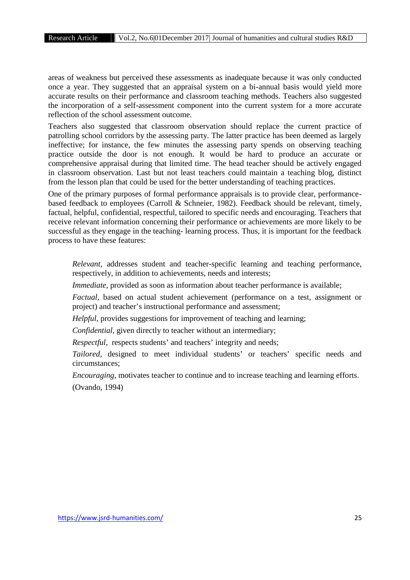areas of weakness but perceived these assessments as inadequate because it was only conducted once a year. They suggested that an appraisal system on a bi-annual basis would yield more accurate results on their performance and classroom teaching methods. Teachers also suggested the incorporation of a self-assessment component into the current system for a more accurate reflection of the school assessment outcome.

Teachers also suggested that classroom observation should replace the current practice of patrolling school corridors by the assessing party. The latter practice has been deemed as largely ineffective; for instance, the few minutes the assessing party spends on observing teaching practice outside the door is not enough. It would be hard to produce an accurate or comprehensive appraisal during that limited time. The head teacher should be actively engaged in classroom observation. Last but not least teachers could maintain a teaching blog, distinct from the lesson plan that could be used for the better understanding of teaching practices.

One of the primary purposes of formal performance appraisals is to provide clear, performance based feedback to employees (Carroll & Schneier, 1982). Feedback should be relevant, timely, factual, helpful, confidential, respectful, tailored to specific needs and encouraging. Teachers that receive relevant information concerning their performance or achievements are more likely to be successful as they engage in the teaching- learning process. Thus, it is important for the feedback process to have these features:

*Relevant,* addresses student and teacher-specific learning and teaching performance, respectively, in addition to achievements, needs and interests;

*Immediate*, provided as soon as information about teacher performance is available;

*Factual,* based on actual student achievement (performance on a test, assignment or project) and teacher's instructional performance and assessment;

*Helpful,* provides suggestions for improvement of teaching and learning;

*Confidential,* given directly to teacher without an intermediary;

*Respectful,* respects students' and teachers' integrity and needs;

*Tailored,* designed to meet individual students' or teachers' specific needs and circumstances;

*Encouraging,* motivates teacher to continue and to increase teaching and learning efforts. (Ovando, 1994)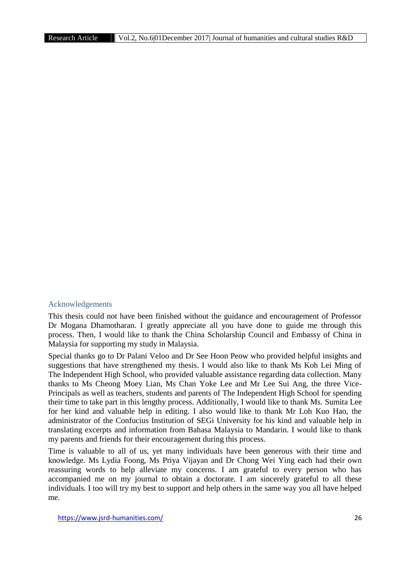#### Acknowledgements

This thesis could not have been finished without the guidance and encouragement of Professor Dr Mogana Dhamotharan. I greatly appreciate all you have done to guide me through this process. Then, I would like to thank the China Scholarship Council and Embassy of China in Malaysia for supporting my study in Malaysia.

Special thanks go to Dr Palani Veloo and Dr See Hoon Peow who provided helpful insights and suggestions that have strengthened my thesis. I would also like to thank Ms Koh Lei Ming of The Independent High School, who provided valuable assistance regarding data collection. Many thanks to Ms Cheong Moey Lian, Ms Chan Yoke Lee and Mr Lee Sui Ang, the three Vice- Principals as well as teachers, students and parents of The Independent High School for spending their time to take part in this lengthy process. Additionally, I would like to thank Ms. Sumita Lee for her kind and valuable help in editing. I also would like to thank Mr Loh Kuo Hao, the administrator of the Confucius Institution of SEGi University for his kind and valuable help in translating excerpts and information from Bahasa Malaysia to Mandarin. I would like to thank my parents and friends for their encouragement during this process.

Time is valuable to all of us, yet many individuals have been generous with their time and knowledge. Ms Lydia Foong, Ms Priya Vijayan and Dr Chong Wei Ying each had their own reassuring words to help alleviate my concerns. I am grateful to every person who has accompanied me on my journal to obtain a doctorate. I am sincerely grateful to all these individuals. I too will try my best to support and help others in the same way you all have helped me.